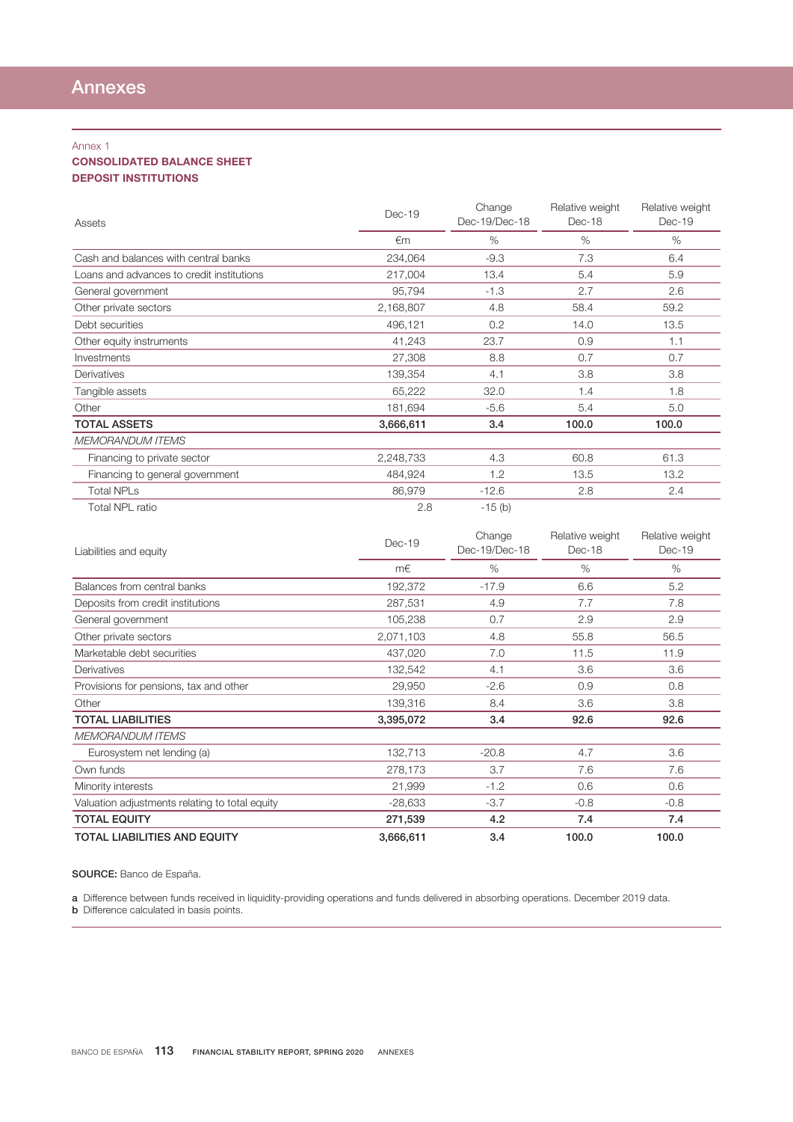## Annex 1

## CONSOLIDATED BALANCE SHEET DEPOSIT INSTITUTIONS

| Assets                                    | $Dec-19$  | Change<br>Dec-19/Dec-18 | Relative weight<br>Dec-18 | Relative weight<br>Dec-19 |
|-------------------------------------------|-----------|-------------------------|---------------------------|---------------------------|
|                                           | €m        | $\%$                    | $\%$                      | $\%$                      |
| Cash and balances with central banks      | 234,064   | $-9.3$                  | 7.3                       | 6.4                       |
| Loans and advances to credit institutions | 217,004   | 13.4                    | 5.4                       | 5.9                       |
| General government                        | 95,794    | $-1.3$                  | 2.7                       | 2.6                       |
| Other private sectors                     | 2,168,807 | 4.8                     | 58.4                      | 59.2                      |
| Debt securities                           | 496,121   | 0.2                     | 14.0                      | 13.5                      |
| Other equity instruments                  | 41,243    | 23.7                    | 0.9                       | 1.1                       |
| Investments                               | 27,308    | 8.8                     | 0.7                       | 0.7                       |
| Derivatives                               | 139,354   | 4.1                     | 3.8                       | 3.8                       |
| Tangible assets                           | 65,222    | 32.0                    | 1.4                       | 1.8                       |
| Other                                     | 181,694   | $-5.6$                  | 5.4                       | 5.0                       |
| <b>TOTAL ASSETS</b>                       | 3,666,611 | 3.4                     | 100.0                     | 100.0                     |
| <b>MEMORANDUM ITEMS</b>                   |           |                         |                           |                           |
| Financing to private sector               | 2,248,733 | 4.3                     | 60.8                      | 61.3                      |
| Financing to general government           | 484,924   | 1.2                     | 13.5                      | 13.2                      |
| <b>Total NPLs</b>                         | 86,979    | $-12.6$                 | 2.8                       | 2.4                       |
| <b>Total NPL ratio</b>                    | 2.8       | $-15$ (b)               |                           |                           |
|                                           |           | $\sim$                  |                           | $  -$                     |

| Liabilities and equity                         | $Dec-19$  | Change<br>Dec-19/Dec-18 | Relative weight<br>$Dec-18$ | Relative weight<br>Dec-19 |
|------------------------------------------------|-----------|-------------------------|-----------------------------|---------------------------|
|                                                | m€        | $\%$                    | $\%$                        | $\%$                      |
| Balances from central banks                    | 192,372   | $-17.9$                 | 6.6                         | 5.2                       |
| Deposits from credit institutions              | 287,531   | 4.9                     | 7.7                         | 7.8                       |
| General government                             | 105,238   | 0.7                     | 2.9                         | 2.9                       |
| Other private sectors                          | 2,071,103 | 4.8                     | 55.8                        | 56.5                      |
| Marketable debt securities                     | 437,020   | 7.0                     | 11.5                        | 11.9                      |
| Derivatives                                    | 132,542   | 4.1                     | 3.6                         | 3.6                       |
| Provisions for pensions, tax and other         | 29,950    | $-2.6$                  | 0.9                         | 0.8                       |
| Other                                          | 139,316   | 8.4                     | 3.6                         | 3.8                       |
| <b>TOTAL LIABILITIES</b>                       | 3,395,072 | 3.4                     | 92.6                        | 92.6                      |
| <b>MEMORANDUM ITEMS</b>                        |           |                         |                             |                           |
| Eurosystem net lending (a)                     | 132,713   | $-20.8$                 | 4.7                         | 3.6                       |
| Own funds                                      | 278,173   | 3.7                     | 7.6                         | 7.6                       |
| Minority interests                             | 21,999    | $-1.2$                  | 0.6                         | 0.6                       |
| Valuation adjustments relating to total equity | $-28,633$ | $-3.7$                  | $-0.8$                      | $-0.8$                    |
| <b>TOTAL EQUITY</b>                            | 271,539   | 4.2                     | 7.4                         | 7.4                       |
| <b>TOTAL LIABILITIES AND EQUITY</b>            | 3,666,611 | 3.4                     | 100.0                       | 100.0                     |

SOURCE: Banco de España.

a Difference between funds received in liquidity-providing operations and funds delivered in absorbing operations. December 2019 data. **b** Difference calculated in basis points.